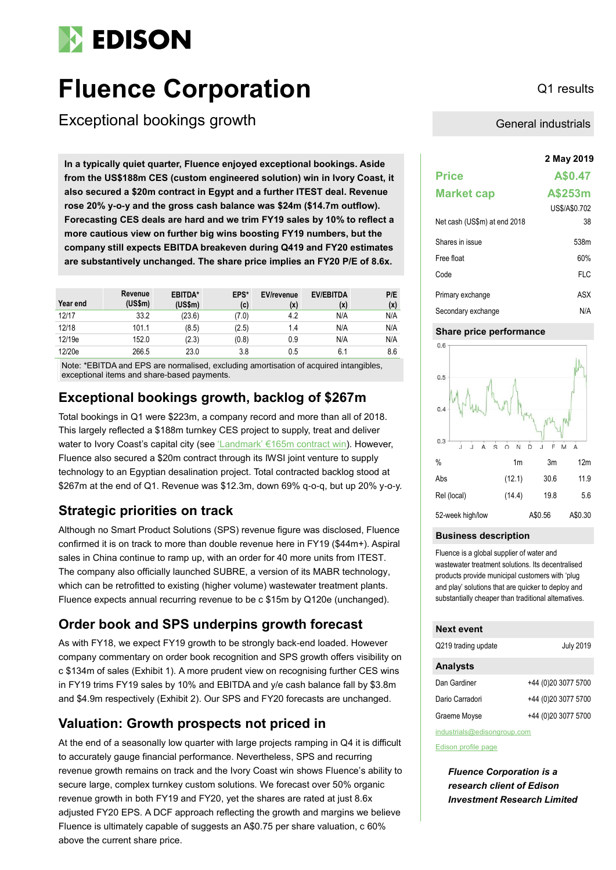# **EDISON**

# **Fluence Corporation** Q1 results

Exceptional bookings growth

**2 May 2019 In a typically quiet quarter, Fluence enjoyed exceptional bookings. Aside from the US\$188m CES (custom engineered solution) win in Ivory Coast, it also secured a \$20m contract in Egypt and a further ITEST deal. Revenue rose 20% y-o-y and the gross cash balance was \$24m (\$14.7m outflow). Forecasting CES deals are hard and we trim FY19 sales by 10% to reflect a more cautious view on further big wins boosting FY19 numbers, but the company still expects EBITDA breakeven during Q419 and FY20 estimates are substantively unchanged. The share price implies an FY20 P/E of 8.6x.**

| Year end | Revenue<br>(US\$m) | EBITDA*<br>(US\$m) | EPS*<br>(c) | <b>EV/revenue</b><br>(x) | <b>EV/EBITDA</b><br>(x) | P/E<br>(x) |
|----------|--------------------|--------------------|-------------|--------------------------|-------------------------|------------|
| 12/17    | 33.2               | (23.6)             | (7.0)       | 4.2                      | N/A                     | N/A        |
| 12/18    | 101.1              | (8.5)              | (2.5)       | 1.4                      | N/A                     | N/A        |
| 12/19e   | 152.0              | (2.3)              | (0.8)       | 0.9                      | N/A                     | N/A        |
| 12/20e   | 266.5              | 23.0               | 3.8         | 0.5                      | 6.1                     | 8.6        |

Note: \*EBITDA and EPS are normalised, excluding amortisation of acquired intangibles, exceptional items and share-based payments.

# **Exceptional bookings growth, backlog of \$267m**

Total bookings in Q1 were \$223m, a company record and more than all of 2018. This largely reflected a \$188m turnkey CES project to supply, treat and deliver water to Ivory Coast's capital city (see 'Landmark' [€165m contract win\)](https://www.edisongroup.com/publication/landmark-e165m-contract-win/23552/). However, Fluence also secured a \$20m contract through its IWSI joint venture to supply technology to an Egyptian desalination project. Total contracted backlog stood at \$267m at the end of Q1. Revenue was \$12.3m, down 69% q-o-q, but up 20% y-o-y.

# **Strategic priorities on track**

Although no Smart Product Solutions (SPS) revenue figure was disclosed, Fluence confirmed it is on track to more than double revenue here in FY19 (\$44m+). Aspiral sales in China continue to ramp up, with an order for 40 more units from ITEST. The company also officially launched SUBRE, a version of its MABR technology, which can be retrofitted to existing (higher volume) wastewater treatment plants. Fluence expects annual recurring revenue to be c \$15m by Q120e (unchanged).

# **Order book and SPS underpins growth forecast**

As with FY18, we expect FY19 growth to be strongly back-end loaded. However company commentary on order book recognition and SPS growth offers visibility on c \$134m of sales (Exhibit 1). A more prudent view on recognising further CES wins in FY19 trims FY19 sales by 10% and EBITDA and y/e cash balance fall by \$3.8m and \$4.9m respectively (Exhibit 2). Our SPS and FY20 forecasts are unchanged.

# **Valuation: Growth prospects not priced in**

At the end of a seasonally low quarter with large projects ramping in Q4 it is difficult to accurately gauge financial performance. Nevertheless, SPS and recurring revenue growth remains on track and the Ivory Coast win shows Fluence's ability to secure large, complex turnkey custom solutions. We forecast over 50% organic revenue growth in both FY19 and FY20, yet the shares are rated at just 8.6x adjusted FY20 EPS. A DCF approach reflecting the growth and margins we believe Fluence is ultimately capable of suggests an A\$0.75 per share valuation, c 60% above the current share price.

General industrials

| <b>Price</b>                 | A\$0.47       |
|------------------------------|---------------|
| <b>Market cap</b>            | A\$253m       |
|                              | US\$/A\$0.702 |
| Net cash (US\$m) at end 2018 | 38            |
| Shares in issue              | 538m          |
| Free float                   | 60%           |
| Code                         | <b>FLC</b>    |
| Primary exchange             | ASX           |
| Secondary exchange           | N/A           |

### **Share price performance**



### **Business description**

Fluence is a global supplier of water and wastewater treatment solutions. Its decentralised products provide municipal customers with 'plug and play' solutions that are quicker to deploy and substantially cheaper than traditional alternatives.

| <b>Next event</b>   |                     |  |  |  |  |  |  |
|---------------------|---------------------|--|--|--|--|--|--|
| Q219 trading update | <b>July 2019</b>    |  |  |  |  |  |  |
| <b>Analysts</b>     |                     |  |  |  |  |  |  |
| Dan Gardiner        | +44 (0)20 3077 5700 |  |  |  |  |  |  |
| Dario Carradori     | +44 (0)20 3077 5700 |  |  |  |  |  |  |
| Graeme Moyse        | +44 (0)20 3077 5700 |  |  |  |  |  |  |
|                     |                     |  |  |  |  |  |  |

[industrials@edisongroup.com](mailto:industrials@edisongroup.com)

[Edison profile page](https://www.edisoninvestmentresearch.com/research/company/fluence-corporation)

*Fluence Corporation is a research client of Edison Investment Research Limited*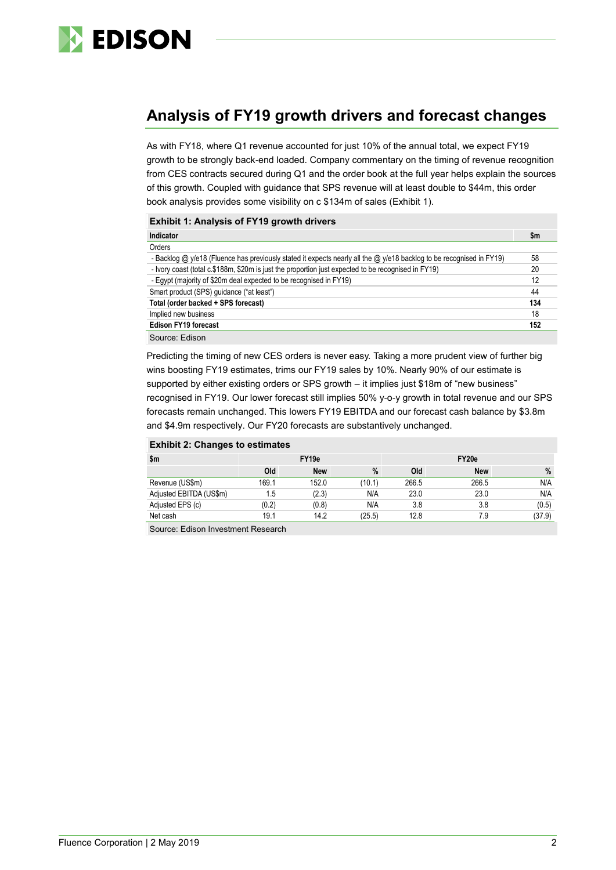

# **Analysis of FY19 growth drivers and forecast changes**

As with FY18, where Q1 revenue accounted for just 10% of the annual total, we expect FY19 growth to be strongly back-end loaded. Company commentary on the timing of revenue recognition from CES contracts secured during Q1 and the order book at the full year helps explain the sources of this growth. Coupled with guidance that SPS revenue will at least double to \$44m, this order book analysis provides some visibility on c \$134m of sales (Exhibit 1).

| <b>Exhibit 1: Analysis of FY19 growth drivers</b>                                                                    |     |
|----------------------------------------------------------------------------------------------------------------------|-----|
| Indicator                                                                                                            | \$m |
| Orders                                                                                                               |     |
| - Backlog @ y/e18 (Fluence has previously stated it expects nearly all the @ y/e18 backlog to be recognised in FY19) | 58  |
| - Ivory coast (total c.\$188m, \$20m is just the proportion just expected to be recognised in FY19)                  | 20  |
| - Eqypt (majority of \$20m deal expected to be recognised in FY19)                                                   | 12  |
| Smart product (SPS) quidance ("at least")                                                                            | 44  |
| Total (order backed + SPS forecast)                                                                                  | 134 |
| Implied new business                                                                                                 | 18  |
| <b>Edison FY19 forecast</b>                                                                                          | 152 |
| Source: Edison                                                                                                       |     |

Predicting the timing of new CES orders is never easy. Taking a more prudent view of further big wins boosting FY19 estimates, trims our FY19 sales by 10%. Nearly 90% of our estimate is supported by either existing orders or SPS growth – it implies just \$18m of "new business" recognised in FY19. Our lower forecast still implies 50% y-o-y growth in total revenue and our SPS forecasts remain unchanged. This lowers FY19 EBITDA and our forecast cash balance by \$3.8m and \$4.9m respectively. Our FY20 forecasts are substantively unchanged.

| \$m                     | FY <sub>19e</sub> |            |        | FY20e |            |        |  |
|-------------------------|-------------------|------------|--------|-------|------------|--------|--|
|                         | Old               | <b>New</b> | %      | Old   | <b>New</b> | %      |  |
| Revenue (US\$m)         | 169.1             | 152.0      | (10.1) | 266.5 | 266.5      | N/A    |  |
| Adjusted EBITDA (US\$m) | 1.5               | (2.3)      | N/A    | 23.0  | 23.0       | N/A    |  |
| Adjusted EPS (c)        | (0.2)             | (0.8)      | N/A    | 3.8   | 3.8        | (0.5)  |  |
| Net cash                | 19.1              | 14.2       | (25.5) | 12.8  | 7.9        | (37.9) |  |
| __                      |                   |            |        |       |            |        |  |

Source: Edison Investment Research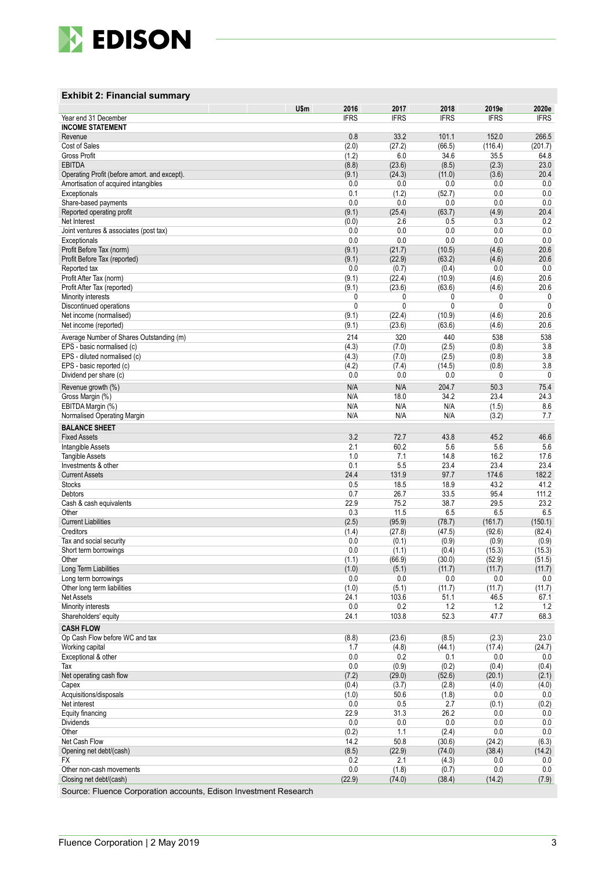

#### **Exhibit 2 : Financial summary**

|                                                                  | U\$m<br>2016 | 2017                        | 2018             | 2019e           | 2020e             |
|------------------------------------------------------------------|--------------|-----------------------------|------------------|-----------------|-------------------|
| Year end 31 December<br><b>INCOME STATEMENT</b>                  | <b>IFRS</b>  | <b>IFRS</b>                 | <b>IFRS</b>      | <b>IFRS</b>     | <b>IFRS</b>       |
| Revenue                                                          |              | 0.8<br>33.2                 | 101.1            | 152.0           | 266.5             |
| Cost of Sales                                                    | (2.0)        | (27.2)                      | (66.5)           | (116.4)         | (201.7)           |
| <b>Gross Profit</b>                                              | (1.2)        | 6.0                         | 34.6             | 35.5            | 64.8              |
| <b>EBITDA</b>                                                    | (8.8)        | (23.6)                      | (8.5)            | (2.3)           | 23.0              |
| Operating Profit (before amort, and except).                     | (9.1)<br>0.0 | (24.3)<br>0.0               | (11.0)<br>0.0    | (3.6)           | 20.4<br>0.0       |
| Amortisation of acquired intangibles<br>Exceptionals             | 0.1          | (1.2)                       | (52.7)           | 0.0<br>0.0      | 0.0               |
| Share-based payments                                             | 0.0          | 0.0                         | 0.0              | 0.0             | 0.0               |
| Reported operating profit                                        | (9.1)        | (25.4)                      | (63.7)           | (4.9)           | 20.4              |
| Net Interest                                                     | (0.0)        | 2.6                         | 0.5              | 0.3             | 0.2               |
| Joint ventures & associates (post tax)                           | 0.0<br>0.0   | 0.0<br>0.0                  | 0.0<br>0.0       | 0.0<br>0.0      | 0.0<br>0.0        |
| Exceptionals<br>Profit Before Tax (norm)                         | (9.1)        | (21.7)                      | (10.5)           | (4.6)           | 20.6              |
| Profit Before Tax (reported)                                     | (9.1)        | (22.9)                      | (63.2)           | (4.6)           | 20.6              |
| Reported tax                                                     |              | 0.0<br>(0.7)                | (0.4)            | 0.0             | 0.0               |
| Profit After Tax (norm)                                          | (9.1)        | (22.4)                      | (10.9)           | (4.6)           | 20.6              |
| Profit After Tax (reported)                                      | (9.1)        | (23.6)                      | (63.6)           | (4.6)<br>0      | 20.6              |
| Minority interests<br>Discontinued operations                    |              | 0<br>0<br>0<br>$\mathbf{0}$ | 0<br>0           | 0               | 0<br>$\mathbf{0}$ |
| Net income (normalised)                                          | (9.1)        | (22.4)                      | (10.9)           | (4.6)           | 20.6              |
| Net income (reported)                                            | (9.1)        | (23.6)                      | (63.6)           | (4.6)           | 20.6              |
| Average Number of Shares Outstanding (m)                         | 214          | 320                         | 440              | 538             | 538               |
| EPS - basic normalised (c)                                       | (4.3)        | (7.0)                       | (2.5)            | (0.8)           | 3.8               |
| EPS - diluted normalised (c)                                     | (4.3)        | (7.0)                       | (2.5)            | (0.8)           | 3.8               |
| EPS - basic reported (c)                                         | (4.2)        | (7.4)                       | (14.5)           | (0.8)           | 3.8               |
| Dividend per share (c)                                           |              | 0.0<br>0.0                  | 0.0              | 0               | 0                 |
| Revenue growth (%)<br>Gross Margin (%)                           | N/A<br>N/A   | N/A<br>18.0                 | 204.7<br>34.2    | 50.3<br>23.4    | 75.4<br>24.3      |
| EBITDA Margin (%)                                                | N/A          | N/A                         | N/A              | (1.5)           | 8.6               |
| Normalised Operating Margin                                      | N/A          | N/A                         | N/A              | (3.2)           | 7.7               |
| <b>BALANCE SHEET</b>                                             |              |                             |                  |                 |                   |
| <b>Fixed Assets</b>                                              |              | 3.2<br>72.7                 | 43.8             | 45.2            | 46.6              |
| Intangible Assets                                                | 2.1          | 60.2                        | 5.6              | 5.6             | 5.6               |
| <b>Tangible Assets</b>                                           | 0.1          | 1.0<br>7.1<br>5.5           | 14.8<br>23.4     | 16.2<br>23.4    | 17.6<br>23.4      |
| Investments & other<br><b>Current Assets</b>                     | 24.4         | 131.9                       | 97.7             | 174.6           | 182.2             |
| <b>Stocks</b>                                                    |              | 0.5<br>18.5                 | 18.9             | 43.2            | 41.2              |
| Debtors                                                          | 0.7          | 26.7                        | 33.5             | 95.4            | 111.2             |
| Cash & cash equivalents                                          | 22.9         | 75.2                        | 38.7             | 29.5            | 23.2              |
| Other<br><b>Current Liabilities</b>                              | (2.5)        | 11.5<br>0.3<br>(95.9)       | 6.5              | 6.5<br>(161.7)  | 6.5               |
| Creditors                                                        | (1.4)        | (27.8)                      | (78.7)<br>(47.5) | (92.6)          | (150.1)<br>(82.4) |
| Tax and social security                                          |              | 0.0<br>(0.1)                | (0.9)            | (0.9)           | (0.9)             |
| Short term borrowings                                            |              | 0.0<br>(1.1)                | (0.4)            | (15.3)          | (15.3)            |
| Other                                                            | (1.1)        | (66.9)                      | (30.0)           | (52.9)          | (51.5)            |
| Long Term Liabilities                                            | (1.0)        | (5.1)                       | (11.7)           | (11.7)          | (11.7)            |
| Long term borrowings<br>Other long term liabilities              | 0.0<br>(1.0) | 0.0<br>(5.1)                | 0.0<br>(11.7)    | 0.0<br>(11.7)   | 0.0<br>(11.7)     |
| Net Assets                                                       | 24.1         | 103.6                       | 51.1             | 46.5            | 67.1              |
| Minority interests                                               | 0.0          | 0.2                         | 1.2              | 1.2             | 1.2               |
| Shareholders' equity                                             | 24.1         | 103.8                       | 52.3             | 47.7            | 68.3              |
| <b>CASH FLOW</b>                                                 |              |                             |                  |                 |                   |
| Op Cash Flow before WC and tax<br>Working capital                | (8.8)        | (23.6)<br>1.7<br>(4.8)      | (8.5)<br>(44.1)  | (2.3)<br>(17.4) | 23.0<br>(24.7)    |
| Exceptional & other                                              | 0.0          | 0.2                         | 0.1              | 0.0             | 0.0               |
| Tax                                                              | 0.0          | (0.9)                       | (0.2)            | (0.4)           | (0.4)             |
| Net operating cash flow                                          | (7.2)        | (29.0)                      | (52.6)           | (20.1)          | (2.1)             |
| Capex                                                            | (0.4)        | (3.7)                       | (2.8)            | (4.0)           | (4.0)             |
| Acquisitions/disposals<br>Net interest                           | (1.0)<br>0.0 | 50.6<br>0.5                 | (1.8)<br>2.7     | 0.0<br>(0.1)    | 0.0<br>(0.2)      |
| Equity financing                                                 | 22.9         | 31.3                        | 26.2             | 0.0             | 0.0               |
| Dividends                                                        | 0.0          | 0.0                         | 0.0              | 0.0             | 0.0               |
| Other                                                            | (0.2)        | 1.1                         | (2.4)            | 0.0             | 0.0               |
| Net Cash Flow                                                    | 14.2         | 50.8                        | (30.6)           | (24.2)          | (6.3)             |
| Opening net debt/(cash)<br>FX                                    | (8.5)        | (22.9)<br>0.2<br>2.1        | (74.0)<br>(4.3)  | (38.4)<br>0.0   | (14.2)<br>0.0     |
| Other non-cash movements                                         | 0.0          | (1.8)                       | (0.7)            | 0.0             | 0.0               |
| Closing net debt/(cash)                                          | (22.9)       | (74.0)                      | (38.4)           | (14.2)          | (7.9)             |
| Source: Fluence Corporation accounts, Edison Investment Research |              |                             |                  |                 |                   |